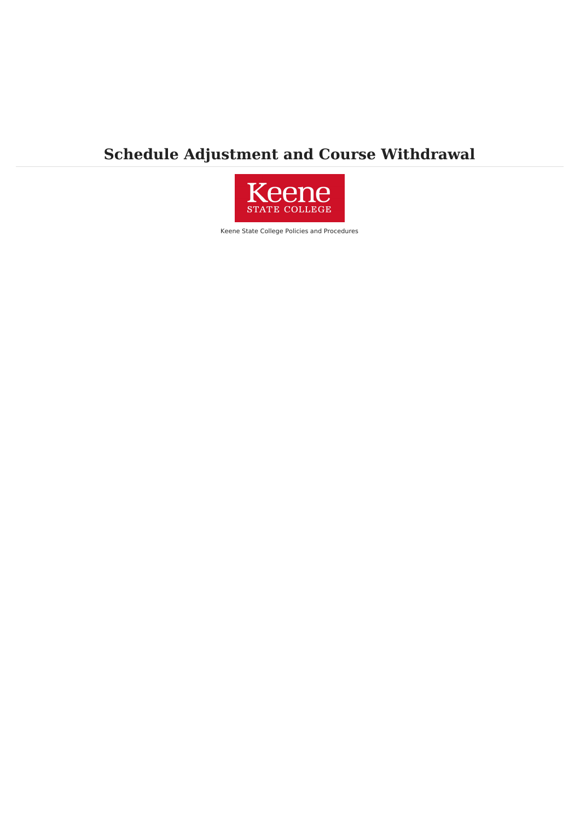# **Schedule Adjustment and Course Withdrawal**



Keene State College Policies and Procedures